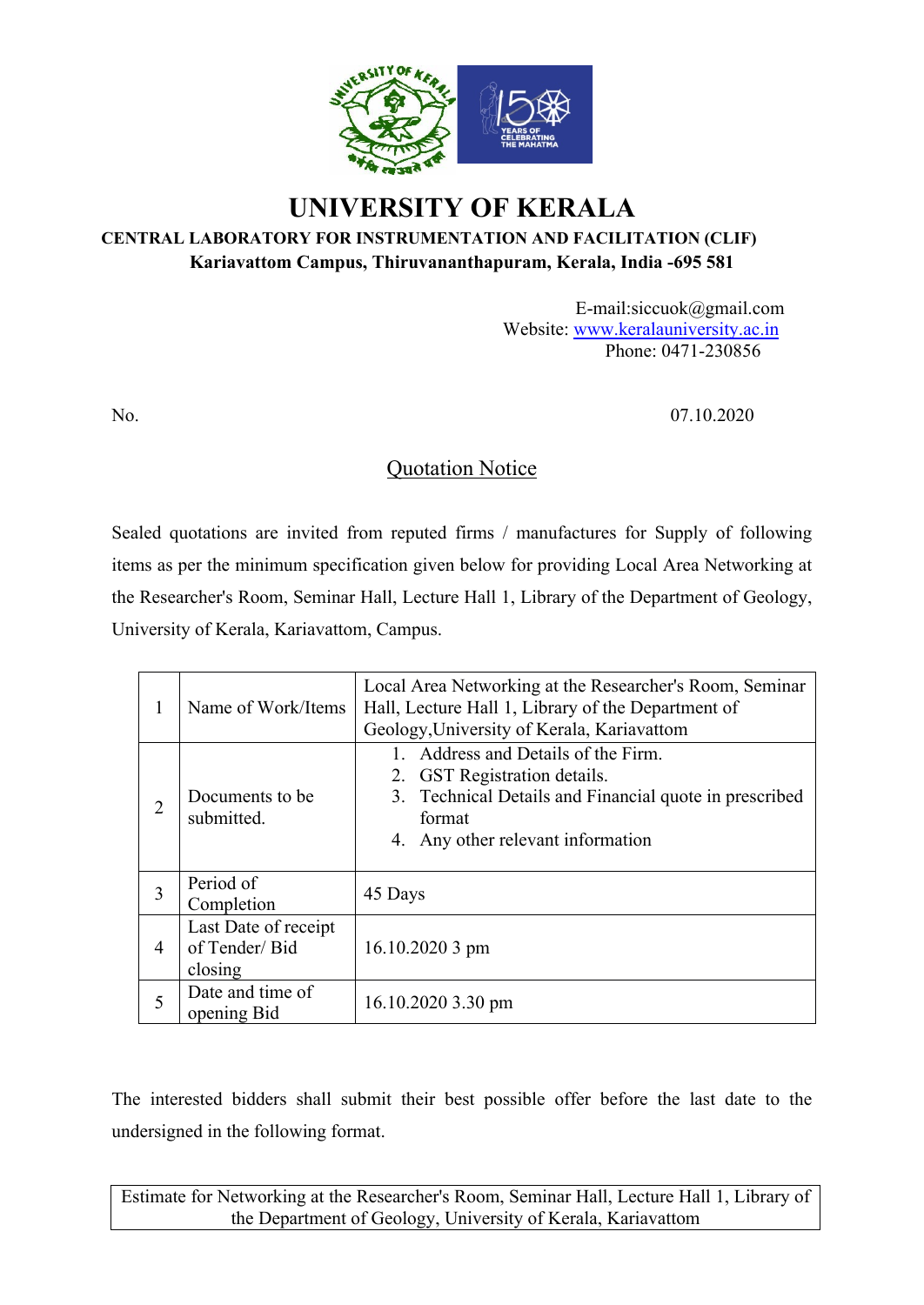

# **UNIVERSITY OF KERALA**

### **CENTRAL LABORATORY FOR INSTRUMENTATION AND FACILITATION (CLIF) Kariavattom Campus, Thiruvananthapuram, Kerala, India -695 581**

E-mail:siccuok@gmail.com Website: www.keralauniversity.ac.in Phone: 0471-230856

No. 07.10.2020

## Quotation Notice

Sealed quotations are invited from reputed firms / manufactures for Supply of following items as per the minimum specification given below for providing Local Area Networking at the Researcher's Room, Seminar Hall, Lecture Hall 1, Library of the Department of Geology, University of Kerala, Kariavattom, Campus.

| $\bf{l}$ | Name of Work/Items                               | Local Area Networking at the Researcher's Room, Seminar<br>Hall, Lecture Hall 1, Library of the Department of<br>Geology, University of Kerala, Kariavattom                  |  |  |  |  |  |
|----------|--------------------------------------------------|------------------------------------------------------------------------------------------------------------------------------------------------------------------------------|--|--|--|--|--|
| 2        | Documents to be.<br>submitted.                   | 1. Address and Details of the Firm.<br>2. GST Registration details.<br>3. Technical Details and Financial quote in prescribed<br>format<br>4. Any other relevant information |  |  |  |  |  |
| 3        | Period of<br>Completion                          | 45 Days                                                                                                                                                                      |  |  |  |  |  |
| 4        | Last Date of receipt<br>of Tender/Bid<br>closing | $16.10.20203$ pm                                                                                                                                                             |  |  |  |  |  |
| 5        | Date and time of<br>opening Bid                  | 16.10.2020 3.30 pm                                                                                                                                                           |  |  |  |  |  |

The interested bidders shall submit their best possible offer before the last date to the undersigned in the following format.

Estimate for Networking at the Researcher's Room, Seminar Hall, Lecture Hall 1, Library of the Department of Geology, University of Kerala, Kariavattom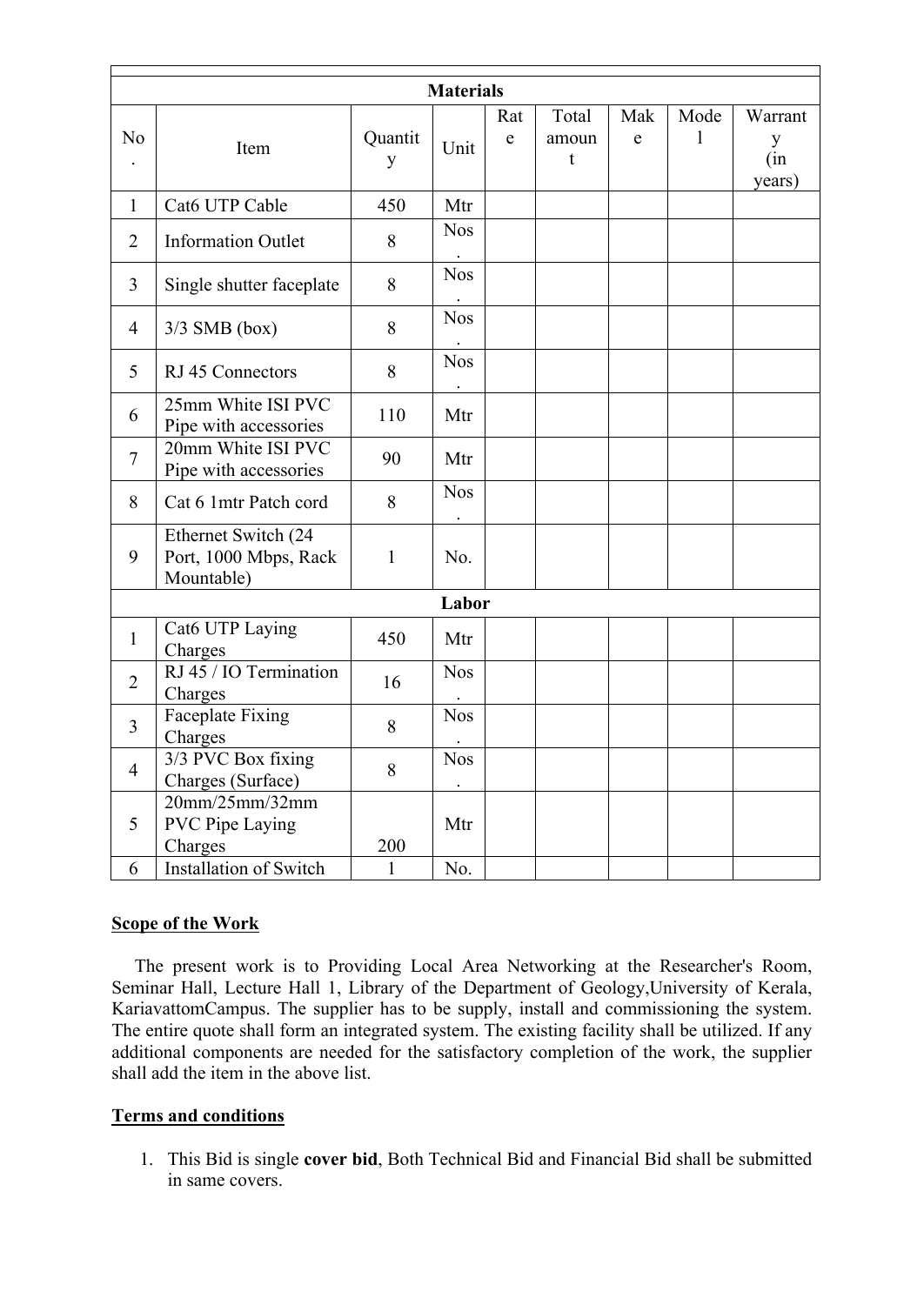|                |                                                            |              | <b>Materials</b> |                     |                     |                  |           |                               |
|----------------|------------------------------------------------------------|--------------|------------------|---------------------|---------------------|------------------|-----------|-------------------------------|
| N <sub>0</sub> | Item                                                       | Quantit<br>y | Unit             | Rat<br>$\mathbf{e}$ | Total<br>amoun<br>t | Mak<br>${\bf e}$ | Mode<br>1 | Warrant<br>y<br>(in<br>years) |
| $\mathbf{1}$   | Cat6 UTP Cable                                             | 450          | Mtr              |                     |                     |                  |           |                               |
| $\overline{2}$ | <b>Information Outlet</b>                                  | 8            | <b>Nos</b>       |                     |                     |                  |           |                               |
| 3              | Single shutter faceplate                                   | 8            | <b>Nos</b>       |                     |                     |                  |           |                               |
| $\overline{4}$ | $3/3$ SMB (box)                                            | 8            | <b>Nos</b>       |                     |                     |                  |           |                               |
| 5              | RJ 45 Connectors                                           | 8            | <b>Nos</b>       |                     |                     |                  |           |                               |
| 6              | 25mm White ISI PVC<br>Pipe with accessories                | 110          | Mtr              |                     |                     |                  |           |                               |
| $\overline{7}$ | 20mm White ISI PVC<br>Pipe with accessories                | 90           | Mtr              |                     |                     |                  |           |                               |
| 8              | Cat 6 1mtr Patch cord                                      | 8            | <b>Nos</b>       |                     |                     |                  |           |                               |
| 9              | Ethernet Switch (24<br>Port, 1000 Mbps, Rack<br>Mountable) | $\mathbf{1}$ | No.              |                     |                     |                  |           |                               |
|                |                                                            |              | Labor            |                     |                     |                  |           |                               |
| $\mathbf{1}$   | Cat6 UTP Laying<br>Charges                                 | 450          | Mtr              |                     |                     |                  |           |                               |
| $\overline{2}$ | RJ 45 / IO Termination<br>Charges                          | 16           | <b>Nos</b>       |                     |                     |                  |           |                               |
| $\overline{3}$ | <b>Faceplate Fixing</b><br>Charges                         | 8            | <b>Nos</b>       |                     |                     |                  |           |                               |
| $\overline{4}$ | 3/3 PVC Box fixing<br>Charges (Surface)                    | 8            | <b>Nos</b>       |                     |                     |                  |           |                               |
| 5              | 20mm/25mm/32mm<br><b>PVC Pipe Laying</b><br>Charges        | 200          | Mtr              |                     |                     |                  |           |                               |
| 6              | Installation of Switch                                     | $\mathbf{1}$ | No.              |                     |                     |                  |           |                               |

### **Scope of the Work**

 The present work is to Providing Local Area Networking at the Researcher's Room, Seminar Hall, Lecture Hall 1, Library of the Department of Geology,University of Kerala, KariavattomCampus. The supplier has to be supply, install and commissioning the system. The entire quote shall form an integrated system. The existing facility shall be utilized. If any additional components are needed for the satisfactory completion of the work, the supplier shall add the item in the above list.

### **Terms and conditions**

1. This Bid is single **cover bid**, Both Technical Bid and Financial Bid shall be submitted in same covers.